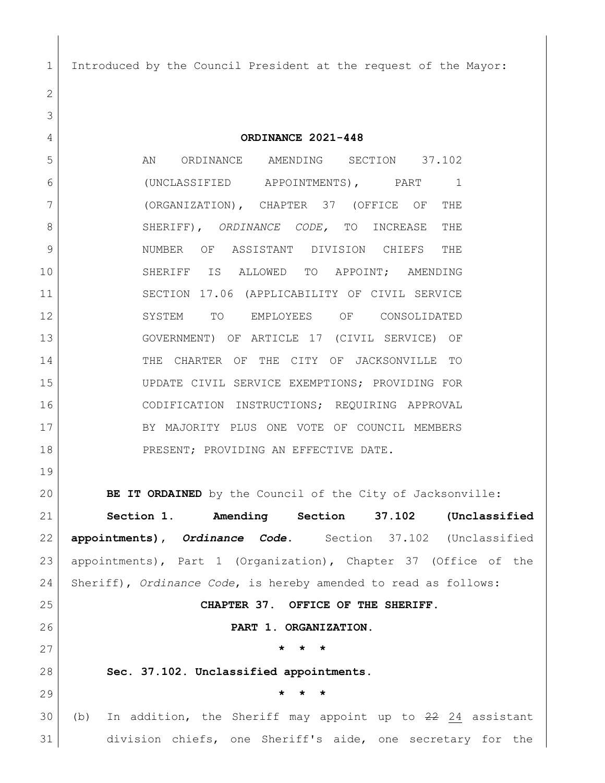Introduced by the Council President at the request of the Mayor:

 **ORDINANCE 2021-448** 5 AN ORDINANCE AMENDING SECTION 37.102 (UNCLASSIFIED APPOINTMENTS), PART 1 (ORGANIZATION), CHAPTER 37 (OFFICE OF THE SHERIFF), *ORDINANCE CODE,* TO INCREASE THE NUMBER OF ASSISTANT DIVISION CHIEFS THE SHERIFF IS ALLOWED TO APPOINT; AMENDING SECTION 17.06 (APPLICABILITY OF CIVIL SERVICE SYSTEM TO EMPLOYEES OF CONSOLIDATED GOVERNMENT) OF ARTICLE 17 (CIVIL SERVICE) OF THE CHARTER OF THE CITY OF JACKSONVILLE TO UPDATE CIVIL SERVICE EXEMPTIONS; PROVIDING FOR CODIFICATION INSTRUCTIONS; REQUIRING APPROVAL 17 BY MAJORITY PLUS ONE VOTE OF COUNCIL MEMBERS 18 PRESENT; PROVIDING AN EFFECTIVE DATE.

 **BE IT ORDAINED** by the Council of the City of Jacksonville: **Section 1. Amending Section 37.102 (Unclassified appointments),** *Ordinance Code***.** Section 37.102 (Unclassified appointments), Part 1 (Organization), Chapter 37 (Office of the Sheriff), *Ordinance Code*, is hereby amended to read as follows: **CHAPTER 37. OFFICE OF THE SHERIFF. PART 1. ORGANIZATION. \* \* \* Sec. 37.102. Unclassified appointments. \* \* \*** 30 (b) In addition, the Sheriff may appoint up to 24 assistant division chiefs, one Sheriff's aide, one secretary for the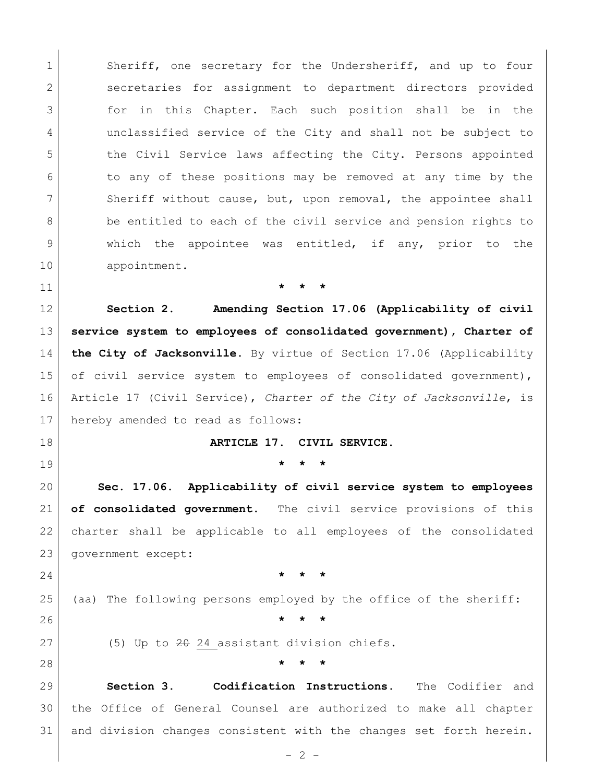1 Sheriff, one secretary for the Undersheriff, and up to four secretaries for assignment to department directors provided for in this Chapter. Each such position shall be in the unclassified service of the City and shall not be subject to 5 the Civil Service laws affecting the City. Persons appointed to any of these positions may be removed at any time by the 7 Sheriff without cause, but, upon removal, the appointee shall 8 be entitled to each of the civil service and pension rights to 9 which the appointee was entitled, if any, prior to the appointment.

**\* \* \***

 **Section 2. Amending Section 17.06 (Applicability of civil service system to employees of consolidated government), Charter of the City of Jacksonville.** By virtue of Section 17.06 (Applicability 15 of civil service system to employees of consolidated government), Article 17 (Civil Service), *Charter of the City of Jacksonville*, is hereby amended to read as follows:

## **ARTICLE 17. CIVIL SERVICE.**

**\* \* \***

 **Sec. 17.06. Applicability of civil service system to employees of consolidated government.** The civil service provisions of this charter shall be applicable to all employees of the consolidated government except:

**\* \* \***

(aa) The following persons employed by the office of the sheriff:

**\* \* \***

27 (5) Up to  $2\theta$  24 assistant division chiefs.

**\* \* \***

 **Section 3. Codification Instructions.** The Codifier and the Office of General Counsel are authorized to make all chapter and division changes consistent with the changes set forth herein.

 $-2 -$